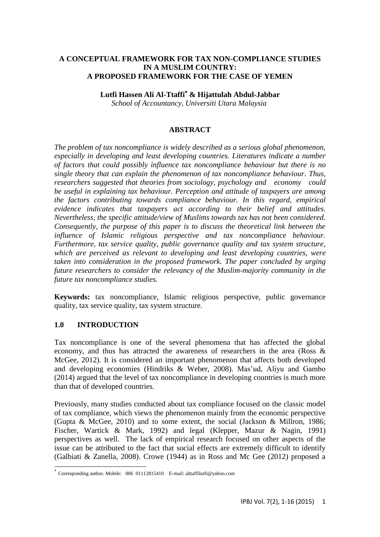# **A CONCEPTUAL FRAMEWORK FOR TAX NON-COMPLIANCE STUDIES IN A MUSLIM COUNTRY: A PROPOSED FRAMEWORK FOR THE CASE OF YEMEN**

**Lutfi Hassen Ali Al-Ttaffi & Hijattulah Abdul-Jabbar**

*School of Accountancy, Universiti Utara Malaysia* 

# **ABSTRACT**

*The problem of tax noncompliance is widely described as a serious global phenomenon, especially in developing and least developing countries. Literatures indicate a number of factors that could possibly influence tax noncompliance behaviour but there is no single theory that can explain the phenomenon of tax noncompliance behaviour. Thus, researchers suggested that theories from sociology, psychology and economy could be useful in explaining tax behaviour. Perception and attitude of taxpayers are among the factors contributing towards compliance behaviour. In this regard, empirical evidence indicates that taxpayers act according to their belief and attitudes. Nevertheless, the specific attitude/view of Muslims towards tax has not been considered. Consequently, the purpose of this paper is to discuss the theoretical link between the influence of Islamic religious perspective and tax noncompliance behaviour. Furthermore, tax service quality, public governance quality and tax system structure, which are perceived as relevant to developing and least developing countries, were taken into consideration in the proposed framework. The paper concluded by urging future researchers to consider the relevancy of the Muslim-majority community in the future tax noncompliance studies.*

**Keywords:** tax noncompliance, Islamic religious perspective, public governance quality, tax service quality, tax system structure.

# **1.0 INTRODUCTION**

Tax noncompliance is one of the several phenomena that has affected the global economy, and thus has attracted the awareness of researchers in the area (Ross & McGee, 2012). It is considered an important phenomenon that affects both developed and developing economies (Hindriks & Weber, 2008). Mas'ud, Aliyu and Gambo (2014) argued that the level of tax noncompliance in developing countries is much more than that of developed countries.

Previously, many studies conducted about tax compliance focused on the classic model of tax compliance, which views the phenomenon mainly from the economic perspective (Gupta & McGee, 2010) and to some extent, the social (Jackson & Millron, 1986; Fischer, Wartick & Mark, 1992) and legal (Klepper, Mazur & Nagin, 1991) perspectives as well. The lack of empirical research focused on other aspects of the issue can be attributed to the fact that social effects are extremely difficult to identify (Galbiati & Zanella, 2008). Crowe (1944) as in Ross and Mc Gee (2012) proposed a

 $\overline{a}$ \* Corresponding author. Mobile: 006 01112815410 E-mail: alttaffilutfi@yahoo.com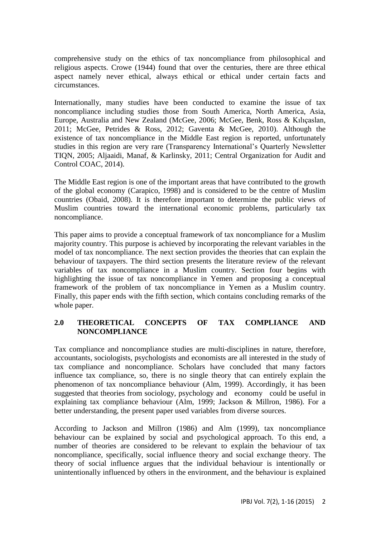comprehensive study on the ethics of tax noncompliance from philosophical and religious aspects. Crowe (1944) found that over the centuries, there are three ethical aspect namely never ethical, always ethical or ethical under certain facts and circumstances.

Internationally, many studies have been conducted to examine the issue of tax noncompliance including studies those from South America, North America, Asia, Europe, Australia and New Zealand (McGee, 2006; McGee, Benk, Ross & Kılıçaslan, 2011; McGee, Petrides & Ross, 2012; Gaventa & McGee, 2010). Although the existence of tax noncompliance in the Middle East region is reported, unfortunately studies in this region are very rare (Transparency International's Quarterly Newsletter TIQN, 2005; Aljaaidi, Manaf, & Karlinsky, 2011; Central Organization for Audit and Control COAC, 2014).

The Middle East region is one of the important areas that have contributed to the growth of the global economy (Carapico, 1998) and is considered to be the centre of Muslim countries (Obaid, 2008). It is therefore important to determine the public views of Muslim countries toward the international economic problems, particularly tax noncompliance.

This paper aims to provide a conceptual framework of tax noncompliance for a Muslim majority country. This purpose is achieved by incorporating the relevant variables in the model of tax noncompliance. The next section provides the theories that can explain the behaviour of taxpayers. The third section presents the literature review of the relevant variables of tax noncompliance in a Muslim country. Section four begins with highlighting the issue of tax noncompliance in Yemen and proposing a conceptual framework of the problem of tax noncompliance in Yemen as a Muslim country. Finally, this paper ends with the fifth section, which contains concluding remarks of the whole paper.

# **2.0 THEORETICAL CONCEPTS OF TAX COMPLIANCE AND NONCOMPLIANCE**

Tax compliance and noncompliance studies are multi-disciplines in nature, therefore, accountants, sociologists, psychologists and economists are all interested in the study of tax compliance and noncompliance. Scholars have concluded that many factors influence tax compliance, so, there is no single theory that can entirely explain the phenomenon of tax noncompliance behaviour (Alm, 1999). Accordingly, it has been suggested that theories from sociology, psychology and economy could be useful in explaining tax compliance behaviour (Alm, 1999; Jackson & Millron, 1986). For a better understanding, the present paper used variables from diverse sources.

According to Jackson and Millron (1986) and Alm (1999), tax noncompliance behaviour can be explained by social and psychological approach. To this end, a number of theories are considered to be relevant to explain the behaviour of tax noncompliance, specifically, social influence theory and social exchange theory. The theory of social influence argues that the individual behaviour is intentionally or unintentionally influenced by others in the environment, and the behaviour is explained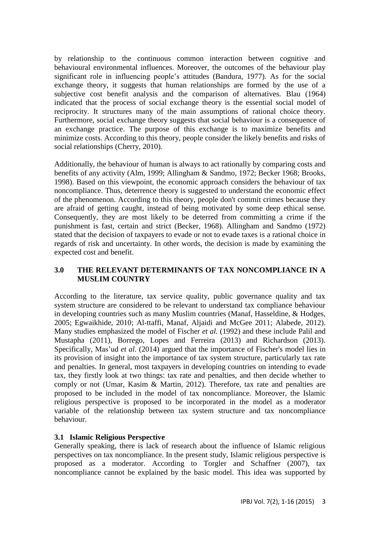by relationship to the continuous common interaction between cognitive and behavioural environmental influences. Moreover, the outcomes of the behaviour play significant role in influencing people's attitudes (Bandura, 1977). As for the social exchange theory, it suggests that human relationships are formed by the use of a subjective cost benefit analysis and the comparison of alternatives. Blau (1964) indicated that the process of social exchange theory is the essential social model of reciprocity. It structures many of the main assumptions of rational choice theory. Furthermore, social exchange theory suggests that social behaviour is a consequence of an exchange practice. The purpose of this exchange is to maximize benefits and minimize costs. According to this theory, people consider the likely benefits and risks of social relationships (Cherry, 2010).

Additionally, the behaviour of human is always to act rationally by comparing costs and benefits of any activity (Alm, 1999; Allingham & Sandmo, 1972; Becker 1968; Brooks, 1998). Based on this viewpoint, the economic approach considers the behaviour of tax noncompliance. Thus, deterrence theory is suggested to understand the economic effect of the phenomenon. According to this theory, people don't commit crimes because they are afraid of getting caught, instead of being motivated by some deep ethical sense. Consequently, they are most likely to be deterred from committing a crime if the punishment is fast, certain and strict (Becker, 1968). Allingham and Sandmo (1972) stated that the decision of taxpayers to evade or not to evade taxes is a rational choice in regards of risk and uncertainty. In other words, the decision is made by examining the expected cost and benefit.

# **3.0 THE RELEVANT DETERMINANTS OF TAX NONCOMPLIANCE IN A MUSLIM COUNTRY**

According to the literature, tax service quality, public governance quality and tax system structure are considered to be relevant to understand tax compliance behaviour in developing countries such as many Muslim countries (Manaf, Hasseldine, & Hodges, 2005; Egwaikhide, 2010; Al-ttaffi, Manaf, Aljaidi and McGee 2011; Alabede, 2012). Many studies emphasized the model of Fischer *et al.* (1992) and these include Palil and Mustapha (2011), Borrego, Lopes and Ferreira (2013) and Richardson (2013). Specifically, Mas'ud *et al.* (2014) argued that the importance of Fischer's model lies in its provision of insight into the importance of tax system structure, particularly tax rate and penalties. In general, most taxpayers in developing countries on intending to evade tax, they firstly look at two things: tax rate and penalties, and then decide whether to comply or not (Umar, Kasim & Martin, 2012). Therefore, tax rate and penalties are proposed to be included in the model of tax noncompliance. Moreover, the Islamic religious perspective is proposed to be incorporated in the model as a moderator variable of the relationship between tax system structure and tax noncompliance behaviour.

# **3.1 Islamic Religious Perspective**

Generally speaking, there is lack of research about the influence of Islamic religious perspectives on tax noncompliance. In the present study, Islamic religious perspective is proposed as a moderator. According to Torgler and Schaffner (2007), tax noncompliance cannot be explained by the basic model. This idea was supported by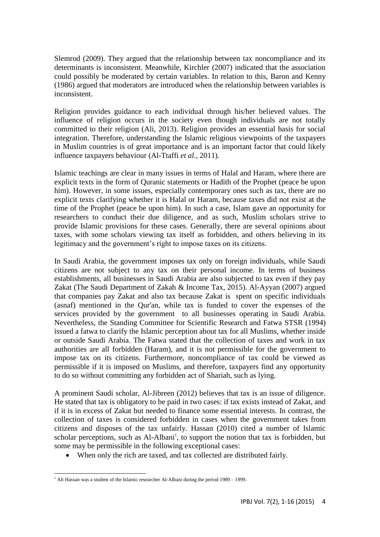Slemrod (2009). They argued that the relationship between tax noncompliance and its determinants is inconsistent. Meanwhile, Kirchler (2007) indicated that the association could possibly be moderated by certain variables. In relation to this, Baron and Kenny (1986) argued that moderators are introduced when the relationship between variables is inconsistent.

Religion provides guidance to each individual through his/her believed values. The influence of religion occurs in the society even though individuals are not totally committed to their religion (Ali, 2013). Religion provides an essential basis for social integration. Therefore, understanding the Islamic religious viewpoints of the taxpayers in Muslim countries is of great importance and is an important factor that could likely influence taxpayers behaviour (Al-Ttaffi *et al.,* 2011).

Islamic teachings are clear in many issues in terms of Halal and Haram, where there are explicit texts in the form of Quranic statements or Hadith of the Prophet (peace be upon him). However, in some issues, especially contemporary ones such as tax, there are no explicit texts clarifying whether it is Halal or Haram, because taxes did not exist at the time of the Prophet (peace be upon him). In such a case, Islam gave an opportunity for researchers to conduct their due diligence, and as such, Muslim scholars strive to provide Islamic provisions for these cases. Generally, there are several opinions about taxes, with some scholars viewing tax itself as forbidden, and others believing in its legitimacy and the government's right to impose taxes on its citizens.

In Saudi Arabia, the government imposes tax only on foreign individuals, while Saudi citizens are not subject to any tax on their personal income. In terms of business establishments, all businesses in Saudi Arabia are also subjected to tax even if they pay Zakat (The Saudi Department of Zakah & Income Tax, 2015). Al-Ayyan (2007) argued that companies pay Zakat and also tax because Zakat is spent on specific individuals (asnaf) mentioned in the Qur'an, while tax is funded to cover the expenses of the services provided by the government to all businesses operating in Saudi Arabia. Nevertheless, the Standing Committee for Scientific Research and Fatwa STSR (1994) issued a fatwa to clarify the Islamic perception about tax for all Muslims, whether inside or outside Saudi Arabia. The Fatwa stated that the collection of taxes and work in tax authorities are all forbidden (Haram), and it is not permissible for the government to impose tax on its citizens. Furthermore, noncompliance of tax could be viewed as permissible if it is imposed on Muslims, and therefore, taxpayers find any opportunity to do so without committing any forbidden act of Shariah, such as lying.

A prominent Saudi scholar, Al-Jibreen (2012) believes that tax is an issue of diligence. He stated that tax is obligatory to be paid in two cases: if tax exists instead of Zakat, and if it is in excess of Zakat but needed to finance some essential interests. In contrast, the collection of taxes is considered forbidden in cases when the government takes from citizens and disposes of the tax unfairly. Hassan (2010) cited a number of Islamic scholar perceptions, such as Al-Albani<sup>1</sup>, to support the notion that tax is forbidden, but some may be permissible in the following exceptional cases:

When only the rich are taxed, and tax collected are distributed fairly.

 $\overline{a}$ <sup>1</sup> Ali Hassan was a student of the Islamic researcher Al-Albani during the period  $1989 - 1999$ .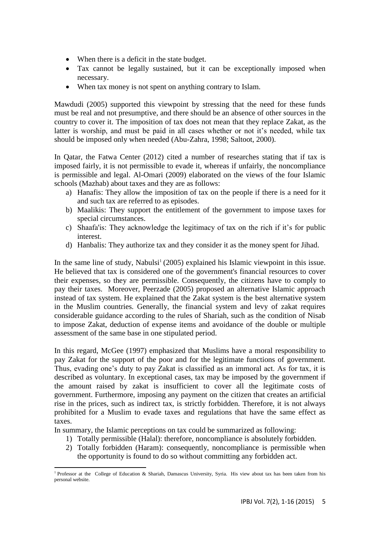- When there is a deficit in the state budget.
- Tax cannot be legally sustained, but it can be exceptionally imposed when necessary.
- When tax money is not spent on anything contrary to Islam.

Mawdudi (2005) supported this viewpoint by stressing that the need for these funds must be real and not presumptive, and there should be an absence of other sources in the country to cover it. The imposition of tax does not mean that they replace Zakat, as the latter is worship, and must be paid in all cases whether or not it's needed, while tax should be imposed only when needed (Abu-Zahra, 1998; Saltoot, 2000).

In Qatar, the Fatwa Center (2012) cited a number of researches stating that if tax is imposed fairly, it is not permissible to evade it, whereas if unfairly, the noncompliance is permissible and legal. Al-Omari (2009) elaborated on the views of the four Islamic schools (Mazhab) about taxes and they are as follows:

- a) Hanafis: They allow the imposition of tax on the people if there is a need for it and such tax are referred to as episodes.
- b) Maalikis: They support the entitlement of the government to impose taxes for special circumstances.
- c) Shaafa'is: They acknowledge the legitimacy of tax on the rich if it's for public interest.
- d) Hanbalis: They authorize tax and they consider it as the money spent for Jihad.

In the same line of study, Nabulsi<sup>1</sup> (2005) explained his Islamic viewpoint in this issue. He believed that tax is considered one of the government's financial resources to cover their expenses, so they are permissible. Consequently, the citizens have to comply to pay their taxes. Moreover, Peerzade (2005) proposed an alternative Islamic approach instead of tax system. He explained that the Zakat system is the best alternative system in the Muslim countries. Generally, the financial system and levy of zakat requires considerable guidance according to the rules of Shariah, such as the condition of Nisab to impose Zakat, deduction of expense items and avoidance of the double or multiple assessment of the same base in one stipulated period.

In this regard, McGee (1997) emphasized that Muslims have a moral responsibility to pay Zakat for the support of the poor and for the legitimate functions of government. Thus, evading one's duty to pay Zakat is classified as an immoral act. As for tax, it is described as voluntary. In exceptional cases, tax may be imposed by the government if the amount raised by zakat is insufficient to cover all the legitimate costs of government. Furthermore, imposing any payment on the citizen that creates an artificial rise in the prices, such as indirect tax, is strictly forbidden. Therefore, it is not always prohibited for a Muslim to evade taxes and regulations that have the same effect as taxes.

In summary, the Islamic perceptions on tax could be summarized as following:

- 1) Totally permissible (Halal): therefore, noncompliance is absolutely forbidden.
- 2) Totally forbidden (Haram): consequently, noncompliance is permissible when the opportunity is found to do so without committing any forbidden act.

l <sup>1</sup> Professor at the College of Education & Shariah, Damascus University, Syria. His view about tax has been taken from his personal website.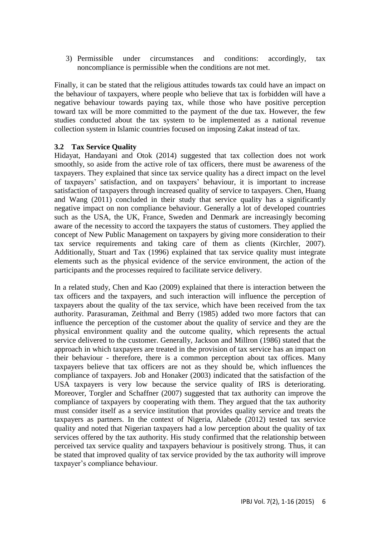3) Permissible under circumstances and conditions: accordingly, tax noncompliance is permissible when the conditions are not met.

Finally, it can be stated that the religious attitudes towards tax could have an impact on the behaviour of taxpayers, where people who believe that tax is forbidden will have a negative behaviour towards paying tax, while those who have positive perception toward tax will be more committed to the payment of the due tax. However, the few studies conducted about the tax system to be implemented as a national revenue collection system in Islamic countries focused on imposing Zakat instead of tax.

#### **3.2 Tax Service Quality**

Hidayat, Handayani and Otok (2014) suggested that tax collection does not work smoothly, so aside from the active role of tax officers, there must be awareness of the taxpayers. They explained that since tax service quality has a direct impact on the level of taxpayers' satisfaction, and on taxpayers' behaviour, it is important to increase satisfaction of taxpayers through increased quality of service to taxpayers. Chen, Huang and Wang (2011) concluded in their study that service quality has a significantly negative impact on non compliance behaviour. Generally a lot of developed countries such as the USA, the UK, France, Sweden and Denmark are increasingly becoming aware of the necessity to accord the taxpayers the status of customers. They applied the concept of New Public Management on taxpayers by giving more consideration to their tax service requirements and taking care of them as clients (Kirchler, 2007). Additionally, Stuart and Tax (1996) explained that tax service quality must integrate elements such as the physical evidence of the service environment, the action of the participants and the processes required to facilitate service delivery.

In a related study, Chen and Kao (2009) explained that there is interaction between the tax officers and the taxpayers, and such interaction will influence the perception of taxpayers about the quality of the tax service, which have been received from the tax authority. Parasuraman, Zeithmal and Berry (1985) added two more factors that can influence the perception of the customer about the quality of service and they are the physical environment quality and the outcome quality, which represents the actual service delivered to the customer. Generally, Jackson and Millron (1986) stated that the approach in which taxpayers are treated in the provision of tax service has an impact on their behaviour - therefore, there is a common perception about tax offices. Many taxpayers believe that tax officers are not as they should be, which influences the compliance of taxpayers. Job and Honaker (2003) indicated that the satisfaction of the USA taxpayers is very low because the service quality of IRS is deteriorating. Moreover, Torgler and Schaffner (2007) suggested that tax authority can improve the compliance of taxpayers by cooperating with them. They argued that the tax authority must consider itself as a service institution that provides quality service and treats the taxpayers as partners. In the context of Nigeria, Alabede (2012) tested tax service quality and noted that Nigerian taxpayers had a low perception about the quality of tax services offered by the tax authority. His study confirmed that the relationship between perceived tax service quality and taxpayers behaviour is positively strong. Thus, it can be stated that improved quality of tax service provided by the tax authority will improve taxpayer's compliance behaviour.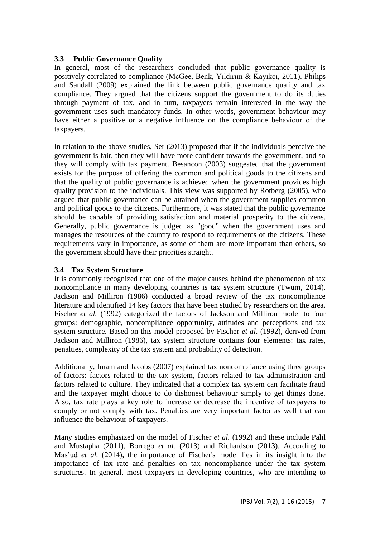# **3.3 Public Governance Quality**

In general, most of the researchers concluded that public governance quality is positively correlated to compliance (McGee, Benk, Yıldırım & Kayıkçı, 2011). Philips and Sandall (2009) explained the link between public governance quality and tax compliance. They argued that the citizens support the government to do its duties through payment of tax, and in turn, taxpayers remain interested in the way the government uses such mandatory funds. In other words, government behaviour may have either a positive or a negative influence on the compliance behaviour of the taxpayers.

In relation to the above studies, Ser (2013) proposed that if the individuals perceive the government is fair, then they will have more confident towards the government, and so they will comply with tax payment. Besancon (2003) suggested that the government exists for the purpose of offering the common and political goods to the citizens and that the quality of public governance is achieved when the government provides high quality provision to the individuals. This view was supported by Rotberg (2005), who argued that public governance can be attained when the government supplies common and political goods to the citizens. Furthermore, it was stated that the public governance should be capable of providing satisfaction and material prosperity to the citizens. Generally, public governance is judged as "good" when the government uses and manages the resources of the country to respond to requirements of the citizens. These requirements vary in importance, as some of them are more important than others, so the government should have their priorities straight.

# **3.4 Tax System Structure**

It is commonly recognized that one of the major causes behind the phenomenon of tax noncompliance in many developing countries is tax system structure (Twum, 2014). Jackson and Milliron (1986) conducted a broad review of the tax noncompliance literature and identified 14 key factors that have been studied by researchers on the area. Fischer *et al.* (1992) categorized the factors of Jackson and Milliron model to four groups: demographic, noncompliance opportunity, attitudes and perceptions and tax system structure. Based on this model proposed by Fischer *et al*. (1992), derived from Jackson and Milliron (1986), tax system structure contains four elements: tax rates, penalties, complexity of the tax system and probability of detection.

Additionally, Imam and Jacobs (2007) explained tax noncompliance using three groups of factors: factors related to the tax system, factors related to tax administration and factors related to culture. They indicated that a complex tax system can facilitate fraud and the taxpayer might choice to do dishonest behaviour simply to get things done. Also, tax rate plays a key role to increase or decrease the incentive of taxpayers to comply or not comply with tax. Penalties are very important factor as well that can influence the behaviour of taxpayers.

Many studies emphasized on the model of Fischer *et al.* (1992) and these include Palil and Mustapha (2011), Borrego *et al.* (2013) and Richardson (2013). According to Mas'ud *et al.* (2014), the importance of Fischer's model lies in its insight into the importance of tax rate and penalties on tax noncompliance under the tax system structures. In general, most taxpayers in developing countries, who are intending to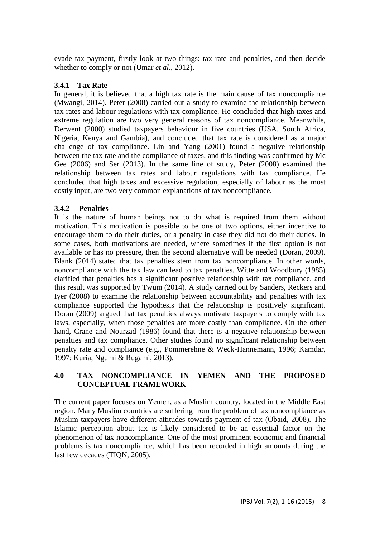evade tax payment, firstly look at two things: tax rate and penalties, and then decide whether to comply or not (Umar *et al*., 2012).

# **3.4.1 Tax Rate**

In general, it is believed that a high tax rate is the main cause of tax noncompliance (Mwangi, 2014). Peter (2008) carried out a study to examine the relationship between tax rates and labour regulations with tax compliance. He concluded that high taxes and extreme regulation are two very general reasons of tax noncompliance. Meanwhile, Derwent (2000) studied taxpayers behaviour in five countries (USA, South Africa, Nigeria, Kenya and Gambia), and concluded that tax rate is considered as a major challenge of tax compliance. Lin and Yang (2001) found a negative relationship between the tax rate and the compliance of taxes, and this finding was confirmed by Mc Gee (2006) and Ser (2013). In the same line of study, Peter (2008) examined the relationship between tax rates and labour regulations with tax compliance. He concluded that high taxes and excessive regulation, especially of labour as the most costly input, are two very common explanations of tax noncompliance.

#### **3.4.2 Penalties**

It is the nature of human beings not to do what is required from them without motivation. This motivation is possible to be one of two options, either incentive to encourage them to do their duties, or a penalty in case they did not do their duties. In some cases, both motivations are needed, where sometimes if the first option is not available or has no pressure, then the second alternative will be needed (Doran, 2009). Blank (2014) stated that tax penalties stem from tax noncompliance. In other words, noncompliance with the tax law can lead to tax penalties. Witte and Woodbury (1985) clarified that penalties has a significant positive relationship with tax compliance, and this result was supported by Twum (2014). A study carried out by Sanders, Reckers and Iyer (2008) to examine the relationship between accountability and penalties with tax compliance supported the hypothesis that the relationship is positively significant. Doran (2009) argued that tax penalties always motivate taxpayers to comply with tax laws, especially, when those penalties are more costly than compliance. On the other hand, Crane and Nourzad (1986) found that there is a negative relationship between penalties and tax compliance. Other studies found no significant relationship between penalty rate and compliance (e.g., Pommerehne & Weck-Hannemann, 1996; Kamdar, 1997; Kuria, Ngumi & Rugami, 2013).

# **4.0 TAX NONCOMPLIANCE IN YEMEN AND THE PROPOSED CONCEPTUAL FRAMEWORK**

The current paper focuses on Yemen, as a Muslim country, located in the Middle East region. Many Muslim countries are suffering from the problem of tax noncompliance as Muslim taxpayers have different attitudes towards payment of tax (Obaid, 2008). The Islamic perception about tax is likely considered to be an essential factor on the phenomenon of tax noncompliance. One of the most prominent economic and financial problems is tax noncompliance, which has been recorded in high amounts during the last few decades (TIQN, 2005).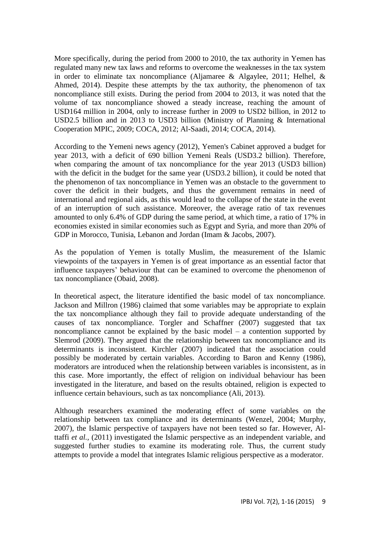More specifically, during the period from 2000 to 2010, the tax authority in Yemen has regulated many new tax laws and reforms to overcome the weaknesses in the tax system in order to eliminate tax noncompliance (Aljamaree & Algaylee, 2011; Helhel, & Ahmed, 2014). Despite these attempts by the tax authority, the phenomenon of tax noncompliance still exists. During the period from 2004 to 2013, it was noted that the volume of tax noncompliance showed a steady increase, reaching the amount of USD164 million in 2004, only to increase further in 2009 to USD2 billion, in 2012 to USD2.5 billion and in 2013 to USD3 billion (Ministry of Planning & International Cooperation MPIC, 2009; COCA, 2012; Al-Saadi, 2014; COCA, 2014).

According to the Yemeni news agency (2012), Yemen's Cabinet approved a budget for year 2013, with a deficit of 690 billion Yemeni Reals (USD3.2 billion). Therefore, when comparing the amount of tax noncompliance for the year 2013 (USD3 billion) with the deficit in the budget for the same year (USD3.2 billion), it could be noted that the phenomenon of tax noncompliance in Yemen was an obstacle to the government to cover the deficit in their budgets, and thus the government remains in need of international and regional aids, as this would lead to the collapse of the state in the event of an interruption of such assistance. Moreover, the average ratio of tax revenues amounted to only 6.4% of GDP during the same period, at which time, a ratio of 17% in economies existed in similar economies such as Egypt and Syria, and more than 20% of GDP in Morocco, Tunisia, Lebanon and Jordan (Imam & Jacobs, 2007).

As the population of Yemen is totally Muslim, the measurement of the Islamic viewpoints of the taxpayers in Yemen is of great importance as an essential factor that influence taxpayers' behaviour that can be examined to overcome the phenomenon of tax noncompliance (Obaid, 2008).

In theoretical aspect, the literature identified the basic model of tax noncompliance. Jackson and Millron (1986) claimed that some variables may be appropriate to explain the tax noncompliance although they fail to provide adequate understanding of the causes of tax noncompliance. Torgler and Schaffner (2007) suggested that tax noncompliance cannot be explained by the basic model – a contention supported by Slemrod (2009). They argued that the relationship between tax noncompliance and its determinants is inconsistent. Kirchler (2007) indicated that the association could possibly be moderated by certain variables. According to Baron and Kenny (1986), moderators are introduced when the relationship between variables is inconsistent, as in this case. More importantly, the effect of religion on individual behaviour has been investigated in the literature, and based on the results obtained, religion is expected to influence certain behaviours, such as tax noncompliance (Ali, 2013).

Although researchers examined the moderating effect of some variables on the relationship between tax compliance and its determinants (Wenzel, 2004; Murphy, 2007), the Islamic perspective of taxpayers have not been tested so far. However, Alttaffi *et al.,* (2011) investigated the Islamic perspective as an independent variable, and suggested further studies to examine its moderating role. Thus, the current study attempts to provide a model that integrates Islamic religious perspective as a moderator.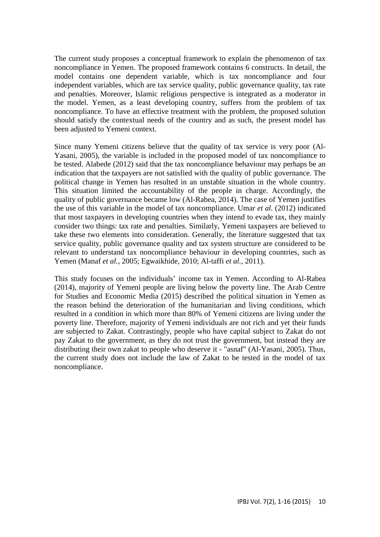The current study proposes a conceptual framework to explain the phenomenon of tax noncompliance in Yemen. The proposed framework contains 6 constructs. In detail, the model contains one dependent variable, which is tax noncompliance and four independent variables, which are tax service quality, public governance quality, tax rate and penalties. Moreover, Islamic religious perspective is integrated as a moderator in the model. Yemen, as a least developing country, suffers from the problem of tax noncompliance. To have an effective treatment with the problem, the proposed solution should satisfy the contextual needs of the country and as such, the present model has been adjusted to Yemeni context.

Since many Yemeni citizens believe that the quality of tax service is very poor (Al-Yasani, 2005), the variable is included in the proposed model of tax noncompliance to be tested. Alabede (2012) said that the tax noncompliance behaviour may perhaps be an indication that the taxpayers are not satisfied with the quality of public governance. The political change in Yemen has resulted in an unstable situation in the whole country. This situation limited the accountability of the people in charge. Accordingly, the quality of public governance became low (Al-Rabea, 2014). The case of Yemen justifies the use of this variable in the model of tax noncompliance. Umar *et al.* (2012) indicated that most taxpayers in developing countries when they intend to evade tax, they mainly consider two things: tax rate and penalties. Similarly, Yemeni taxpayers are believed to take these two elements into consideration. Generally, the literature suggested that tax service quality, public governance quality and tax system structure are considered to be relevant to understand tax noncompliance behaviour in developing countries, such as Yemen (Manaf *et al.*, 2005; Egwaikhide, 2010; Al-taffi *et al.,* 2011).

This study focuses on the individuals' income tax in Yemen. According to Al-Rabea (2014), majority of Yemeni people are living below the poverty line. The Arab Centre for Studies and Economic Media (2015) described the political situation in Yemen as the reason behind the deterioration of the humanitarian and living conditions, which resulted in a condition in which more than 80% of Yemeni citizens are living under the poverty line. Therefore, majority of Yemeni individuals are not rich and yet their funds are subjected to Zakat. Contrastingly, people who have capital subject to Zakat do not pay Zakat to the government, as they do not trust the government, but instead they are distributing their own zakat to people who deserve it - "asnaf" (Al-Yasani, 2005). Thus, the current study does not include the law of Zakat to be tested in the model of tax noncompliance.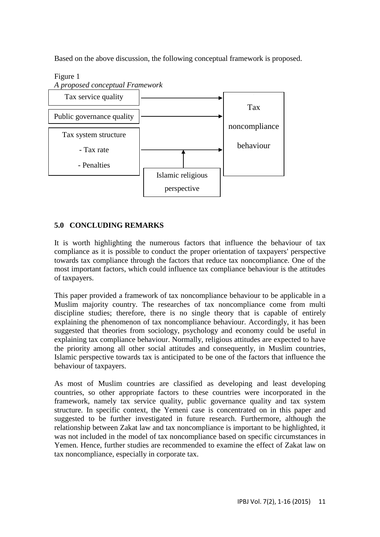Based on the above discussion, the following conceptual framework is proposed.



# **5.0 CONCLUDING REMARKS**

It is worth highlighting the numerous factors that influence the behaviour of tax compliance as it is possible to conduct the proper orientation of taxpayers' perspective towards tax compliance through the factors that reduce tax noncompliance. One of the most important factors, which could influence tax compliance behaviour is the attitudes of taxpayers.

This paper provided a framework of tax noncompliance behaviour to be applicable in a Muslim majority country. The researches of tax noncompliance come from multi discipline studies; therefore, there is no single theory that is capable of entirely explaining the phenomenon of tax noncompliance behaviour. Accordingly, it has been suggested that theories from sociology, psychology and economy could be useful in explaining tax compliance behaviour. Normally, religious attitudes are expected to have the priority among all other social attitudes and consequently, in Muslim countries, Islamic perspective towards tax is anticipated to be one of the factors that influence the behaviour of taxpayers.

As most of Muslim countries are classified as developing and least developing countries, so other appropriate factors to these countries were incorporated in the framework, namely tax service quality, public governance quality and tax system structure. In specific context, the Yemeni case is concentrated on in this paper and suggested to be further investigated in future research. Furthermore, although the relationship between Zakat law and tax noncompliance is important to be highlighted, it was not included in the model of tax noncompliance based on specific circumstances in Yemen. Hence, further studies are recommended to examine the effect of Zakat law on tax noncompliance, especially in corporate tax.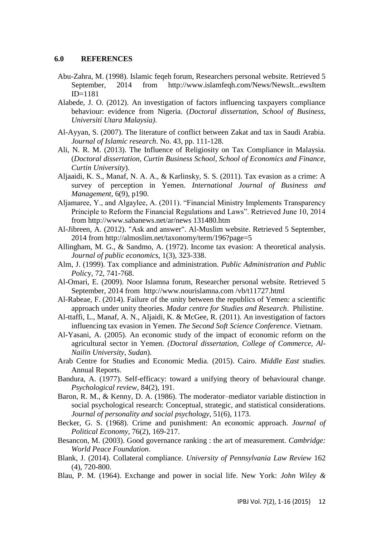#### **6.0 REFERENCES**

- Abu-Zahra, M. (1998). Islamic feqeh forum, Researchers personal website. Retrieved 5 September, 2014 from [http://www.islamfeqh.com/News/NewsIt...ewsItem](http://www.islamfeqh.com/News/NewsItem.aspx?NewsItemID=1181)  [ID=1181](http://www.islamfeqh.com/News/NewsItem.aspx?NewsItemID=1181)
- Alabede, J. O. (2012). An investigation of factors influencing taxpayers compliance behaviour: evidence from Nigeria. (*Doctoral dissertation, School of Business, Universiti Utara Malaysia)*.
- Al-Ayyan, S. (2007). The literature of conflict between Zakat and tax in Saudi Arabia. *Journal of Islamic research*. No. 43, pp. 111-128.
- Ali, N. R. M. (2013). The Influence of Religiosity on Tax Compliance in Malaysia. (*Doctoral dissertation, Curtin Business School, School of Economics and Finance, Curtin University*).
- Aljaaidi, K. S., Manaf, N. A. A., & Karlinsky, S. S. (2011). Tax evasion as a crime: A survey of perception in Yemen. *International Journal of Business and Management*, 6(9), p190.
- Aljamaree, Y., and Algaylee, A. (2011). "Financial Ministry Implements Transparency Principle to Reform the Financial Regulations and Laws". Retrieved June 10, 2014 from [http://www.sabanews.net/ar/news 131480.htm](http://www.sabanews.net/ar/news131480.htm)
- Al-Jibreen, A. (2012). "Ask and answer". Al-Muslim website. Retrieved 5 September, 2014 from http://almoslim.net/taxonomy/term/196?page=5
- Allingham, M. G., & Sandmo, A. (1972). Income tax evasion: A theoretical analysis. *Journal of public economics*, 1(3), 323-338.
- Alm, J. (1999). Tax compliance and administration. *Public Administration and Public Polic*y, 72, 741-768.
- Al-Omari, E. (2009). Noor Islamna forum, Researcher personal website. Retrieved 5 September, 2014 from [http://www.nourislamna.com /vb/t11727.html](http://www.nourislamna.com/vb/t11727.html)
- Al-Rabeae, F. (2014). Failure of the unity between the republics of Yemen: a scientific approach under unity theories*. Madar centre for Studies and Research*. Philistine.
- Al-ttaffi, L., Manaf, A. N., Aljaidi, K. & McGee, R. (2011). An investigation of factors influencing tax evasion in Yemen. *The Second Soft Science Conference*. Vietnam.
- Al-Yasani, A. (2005). An economic study of the impact of economic reform on the agricultural sector in Yemen. *(Doctoral dissertation, College of Commerce, Al-Nailin University, Sudan*).
- Arab Centre for Studies and Economic Media. (2015). Cairo. *Middle East studies.* Annual Reports.
- Bandura, A. (1977). Self-efficacy: toward a unifying theory of behavioural change. *Psychological review*, 84(2), 191.
- Baron, R. M., & Kenny, D. A. (1986). The moderator–mediator variable distinction in social psychological research: Conceptual, strategic, and statistical considerations. *Journal of personality and social psychology*, 51(6), 1173.
- Becker, G. S. (1968). Crime and punishment: An economic approach. *Journal of Political Economy*, 76(2), 169-217.
- Besancon, M. (2003). Good governance ranking : the art of measurement. *Cambridge: World Peace Foundation*.
- Blank, J. (2014). Collateral compliance. *University of Pennsylvania Law Review* 162 (4), 720-800.
- Blau, P. M. (1964). Exchange and power in social life. New York: *John Wiley &*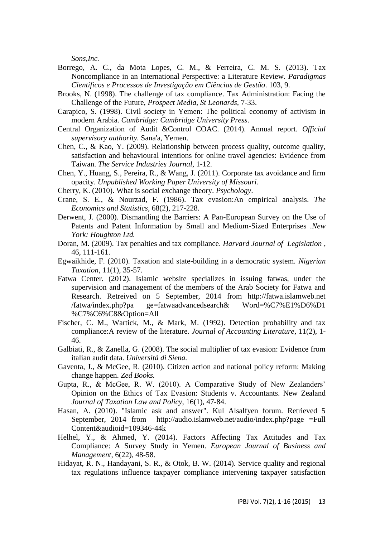*Sons,Inc.*

- Borrego, A. C., da Mota Lopes, C. M., & Ferreira, C. M. S. (2013). Tax Noncompliance in an International Perspective: a Literature Review. *Paradigmas Científicos e Processos de Investigação em Ciências de Gestão*. 103, 9.
- Brooks, N. (1998). The challenge of tax compliance. Tax Administration: Facing the Challenge of the Future, *Prospect Media, St Leonards,* 7-33.
- Carapico, S. (1998). Civil society in Yemen: The political economy of activism in modern Arabia. *Cambridge: Cambridge University Press*.
- Central Organization of Audit &Control COAC. (2014). Annual report. *Official supervisory authority.* Sana'a, Yemen.
- Chen, C., & Kao, Y. (2009). Relationship between process quality, outcome quality, satisfaction and behavioural intentions for online travel agencies: Evidence from Taiwan. *The Service Industries Journal*, 1-12.
- Chen, Y., Huang, S., Pereira, R., & Wang, J. (2011). Corporate tax avoidance and firm opacity. *Unpublished Working Paper University of Missouri*.
- Cherry, K. (2010). What is social exchange theory. *Psychology*.
- Crane, S. E., & Nourzad, F. (1986). Tax evasion:An empirical analysis. *The Economics and Statistics,* 68(2), 217-228.
- Derwent, J. (2000). Dismantling the Barriers: A Pan-European Survey on the Use of Patents and Patent Information by Small and Medium-Sized Enterprises .*New York: Houghton Ltd.*
- Doran, M. (2009). Tax penalties and tax compliance. *Harvard Journal of Legislation* , 46, 111-161.
- Egwaikhide, F. (2010). Taxation and state-building in a democratic system. *Nigerian Taxation*, 11(1), 35-57.
- Fatwa Center. (2012). Islamic website specializes in issuing fatwas, under the supervision and management of the members of the Arab Society for Fatwa and Research. Retreived on 5 September, 2014 from http://fatwa.islamweb.net /fatwa/index.php?pa ge=fatwaadvancedsearch& Word=%C7%E1%D6%D1 %C7%C6%C8&Option=All
- Fischer, C. M., Wartick, M., & Mark, M. (1992). Detection probability and tax compliance:A review of the literature. *Journal of Accounting Literature*, 11(2), 1- 46.
- Galbiati, R., & Zanella, G. (2008). The social multiplier of tax evasion: Evidence from italian audit data. *Università di Siena.*
- Gaventa, J., & McGee, R. (2010). Citizen action and national policy reform: Making change happen. *Zed Books.*
- Gupta, R., & McGee, R. W. (2010). A Comparative Study of New Zealanders' Opinion on the Ethics of Tax Evasion: Students v. Accountants. New Zealand *Journal of Taxation Law and Policy*, 16(1), 47-84.
- Hasan, A. (2010). "Islamic ask and answer". Kul Alsalfyen forum. Retrieved 5 September, 2014 from [http://audio.islamweb.net/audio/index.php?page =Full](http://audio.islamweb.net/audio/index.php?page=FullContent&audioid=109346-44k)  [Content&audioid=109346-44k](http://audio.islamweb.net/audio/index.php?page=FullContent&audioid=109346-44k)
- Helhel, Y., & Ahmed, Y. (2014). Factors Affecting Tax Attitudes and Tax Compliance: A Survey Study in Yemen. *European Journal of Business and Management*, 6(22), 48-58.
- Hidayat, R. N., Handayani, S. R., & Otok, B. W. (2014). Service quality and regional tax regulations influence taxpayer compliance intervening taxpayer satisfaction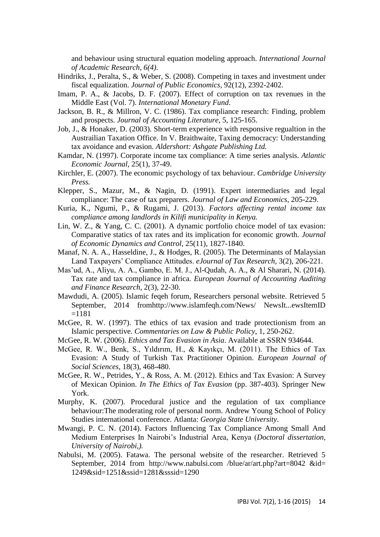and behaviour using structural equation modeling approach. *International Journal of Academic Research, 6(4).*

- Hindriks, J., Peralta, S., & Weber, S. (2008). Competing in taxes and investment under fiscal equalization. *Journal of Public Economics*, 92(12), 2392-2402.
- Imam, P. A., & Jacobs, D. F. (2007). Effect of corruption on tax revenues in the Middle East (Vol. 7). *International Monetary Fund*.
- Jackson, B. R., & Millron, V. C. (1986). Tax compliance research: Finding, problem and prospects. *Journal of Accounting Literature*, 5, 125-165.
- Job, J., & Honaker, D. (2003). Short-term experience with responsive regualtion in the Austrailian Taxation Office. In V. Braithwaite, Taxing democracy: Understanding tax avoidance and evasion*. Aldershort: Ashgate Publishing Ltd.*
- Kamdar, N. (1997). Corporate income tax compliance: A time series analysis*. Atlantic Economic Journal*, 25(1), 37-49.
- Kirchler, E. (2007). The economic psychology of tax behaviour*. Cambridge University Press.*
- Klepper, S., Mazur, M., & Nagin, D. (1991). Expert intermediaries and legal compliance: The case of tax preparers. *Journal of Law and Economics*, 205-229.
- Kuria, K., Ngumi, P., & Rugami, J. (2013). *Factors affecting rental income tax compliance among landlords in Kilifi municipality in Kenya.*
- Lin, W. Z., & Yang, C. C. (2001). A dynamic portfolio choice model of tax evasion: Comparative statics of tax rates and its implication for economic growth. *Journal of Economic Dynamics and Control*, 25(11), 1827-1840.
- Manaf, N. A. A., Hasseldine, J., & Hodges, R. (2005). The Determinants of Malaysian Land Taxpayers' Compliance Attitudes. *eJournal of Tax Research*, 3(2), 206-221.
- Mas'ud, A., Aliyu, A. A., Gambo, E. M. J., Al-Qudah, A. A., & Al Sharari, N. (2014). Tax rate and tax compliance in africa. *European Journal of Accounting Auditing and Finance Research*, 2(3), 22-30.
- Mawdudi, A. (2005). Islamic feqeh forum, Researchers personal website. Retrieved 5 September, 2014 fro[mhttp://www.islamfeqh.com/News/ NewsIt...ewsItemID](http://www.islamfeqh.com/News/NewsItem.aspx?NewsItemID=1181)   $=1181$
- McGee, R. W. (1997). The ethics of tax evasion and trade protectionism from an Islamic perspective. *Commentaries on Law & Public Policy*, 1, 250-262.
- McGee, R. W. (2006). *Ethics and Tax Evasion in Asia*. Available at SSRN 934644.
- McGee, R. W., Benk, S., Yıldırım, H., & Kayıkçı, M. (2011). The Ethics of Tax Evasion: A Study of Turkish Tax Practitioner Opinion. *European Journal of Social Sciences*, 18(3), 468-480.
- McGee, R. W., Petrides, Y., & Ross, A. M. (2012). Ethics and Tax Evasion: A Survey of Mexican Opinion. *In The Ethics of Tax Evasion* (pp. 387-403). Springer New York.
- Murphy, K. (2007). Procedural justice and the regulation of tax compliance behaviour:The moderating role of personal norm. Andrew Young School of Policy Studies international conference. Atlanta: *Georgia State University*.
- Mwangi, P. C. N. (2014). Factors Influencing Tax Compliance Among Small And Medium Enterprises In Nairobi's Industrial Area, Kenya (*Doctoral dissertation, University of Nairobi,).*
- Nabulsi, M. (2005). Fatawa. The personal website of the researcher. Retrieved 5 September, 2014 from [http://www.nabulsi.com /blue/ar/art.php?art=8042 &id=](http://www.nabulsi.com/blue/ar/art.php?art=8042&id=1249&sid=1251&ssid=1281&sssid=1290)  [1249&sid=1251&ssid=1281&sssid=1290](http://www.nabulsi.com/blue/ar/art.php?art=8042&id=1249&sid=1251&ssid=1281&sssid=1290)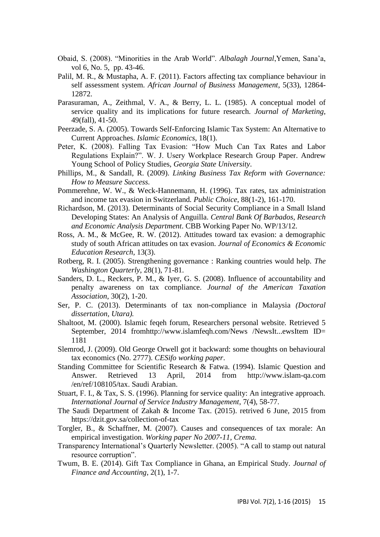- Obaid, S. (2008). "Minorities in the Arab World". *Albalagh Journal*,Yemen, Sana'a, vol 6, No. 5, pp. 43-46.
- Palil, M. R., & Mustapha, A. F. (2011). Factors affecting tax compliance behaviour in self assessment system. *African Journal of Business Management*, 5(33), 12864- 12872.
- Parasuraman, A., Zeithmal, V. A., & Berry, L. L. (1985). A conceptual model of service quality and its implications for future research. *Journal of Marketing*, 49(fall), 41-50.
- Peerzade, S. A. (2005). Towards Self-Enforcing Islamic Tax System: An Alternative to Current Approaches. *Islamic Economics*, 18(1).
- Peter, K. (2008). Falling Tax Evasion: "How Much Can Tax Rates and Labor Regulations Explain?". W. J. Usery Workplace Research Group Paper. Andrew Young School of Policy Studies, *Georgia State University*.
- Phillips, M., & Sandall, R. (2009). *Linking Business Tax Reform with Governance: How to Measure Success.*
- Pommerehne, W. W., & Weck-Hannemann, H. (1996). Tax rates, tax administration and income tax evasion in Switzerland*. Public Choice*, 88(1-2), 161-170.
- Richardson, M. (2013). Determinants of Social Security Compliance in a Small Island Developing States: An Analysis of Anguilla. *Central Bank Of Barbados, Research and Economic Analysis Department*. CBB Working Paper No. WP/13/12.
- Ross, A. M., & McGee, R. W. (2012). Attitudes toward tax evasion: a demographic study of south African attitudes on tax evasion. *Journal of Economics & Economic Education Research*, 13(3).
- Rotberg, R. I. (2005). Strengthening governance : Ranking countries would help. *The Washington Quarterly*, 28(1), 71-81.
- Sanders, D. L., Reckers, P. M., & Iyer, G. S. (2008). Influence of accountability and penalty awareness on tax compliance. *Journal of the American Taxation Association*, 30(2), 1-20.
- Ser, P. C. (2013). Determinants of tax non-compliance in Malaysia *(Doctoral dissertation, Utara).*
- Shaltoot, M. (2000). Islamic feqeh forum, Researchers personal website. Retrieved 5 September, 2014 fro[mhttp://www.islamfeqh.com/News /NewsIt...ewsItem ID=](http://www.islamfeqh.com/News/NewsItem.aspx?NewsItemID=1181)  [1181](http://www.islamfeqh.com/News/NewsItem.aspx?NewsItemID=1181)
- Slemrod, J. (2009). Old George Orwell got it backward: some thoughts on behavioural tax economics (No. 2777). *CESifo working paper*.
- Standing Committee for Scientific Research & Fatwa. (1994). Islamic Question and Answer. Retrieved 13 April, 2014 from [http://www.islam-qa.com](http://www.islam-qa.com/en/ref/108105/tax)  [/en/ref/108105/tax.](http://www.islam-qa.com/en/ref/108105/tax) Saudi Arabian.
- Stuart, F. I., & Tax, S. S. (1996). Planning for service quality: An integrative approach. *International Journal of Service Industry Management*, 7(4), 58-77.
- The Saudi Department of Zakah & Income Tax. (2015). retrived 6 June, 2015 from https://dzit.gov.sa/collection-of-tax
- Torgler, B., & Schaffner, M. (2007). Causes and consequences of tax morale: An empirical investigation. *Working paper No 2007-11, Crema*.
- Transparency International's Quarterly Newsletter. (2005). "A call to stamp out natural resource corruption".
- Twum, B. E. (2014). Gift Tax Compliance in Ghana, an Empirical Study. *Journal of Finance and Accounting*, 2(1), 1-7.